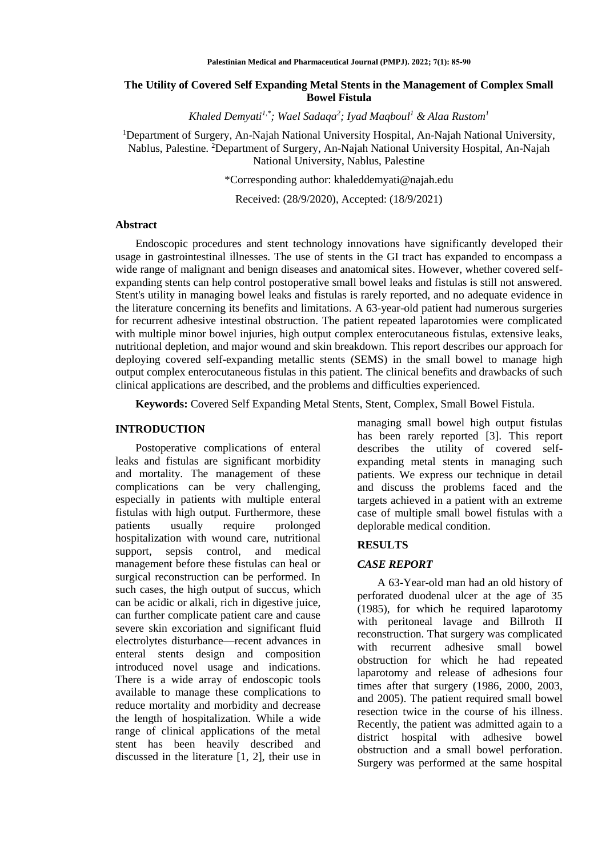# **The Utility of Covered Self Expanding Metal Stents in the Management of Complex Small Bowel Fistula**

*Khaled Demyati1,\*; Wael Sadaqa<sup>2</sup> ; Iyad Maqboul<sup>1</sup> & Alaa Rustom<sup>1</sup>*

<sup>1</sup>Department of Surgery, An-Najah National University Hospital, An-Najah National University, Nablus, Palestine. <sup>2</sup>Department of Surgery, An-Najah National University Hospital, An-Najah National University, Nablus, Palestine

\*Corresponding author: [khaleddemyati@najah.edu](mailto:khaleddemyati@najah.edu)

Received: (28/9/2020), Accepted: (18/9/2021)

#### **Abstract**

Endoscopic procedures and stent technology innovations have significantly developed their usage in gastrointestinal illnesses. The use of stents in the GI tract has expanded to encompass a wide range of malignant and benign diseases and anatomical sites. However, whether covered selfexpanding stents can help control postoperative small bowel leaks and fistulas is still not answered. Stent's utility in managing bowel leaks and fistulas is rarely reported, and no adequate evidence in the literature concerning its benefits and limitations. A 63-year-old patient had numerous surgeries for recurrent adhesive intestinal obstruction. The patient repeated laparotomies were complicated with multiple minor bowel injuries, high output complex enterocutaneous fistulas, extensive leaks, nutritional depletion, and major wound and skin breakdown. This report describes our approach for deploying covered self-expanding metallic stents (SEMS) in the small bowel to manage high output complex enterocutaneous fistulas in this patient. The clinical benefits and drawbacks of such clinical applications are described, and the problems and difficulties experienced.

**Keywords:** Covered Self Expanding Metal Stents, Stent, Complex, Small Bowel Fistula.

## **INTRODUCTION**

Postoperative complications of enteral leaks and fistulas are significant morbidity and mortality. The management of these complications can be very challenging, especially in patients with multiple enteral fistulas with high output. Furthermore, these patients usually require prolonged hospitalization with wound care, nutritional support, sepsis control, and medical management before these fistulas can heal or surgical reconstruction can be performed. In such cases, the high output of succus, which can be acidic or alkali, rich in digestive juice, can further complicate patient care and cause severe skin excoriation and significant fluid electrolytes disturbance—recent advances in enteral stents design and composition introduced novel usage and indications. There is a wide array of endoscopic tools available to manage these complications to reduce mortality and morbidity and decrease the length of hospitalization. While a wide range of clinical applications of the metal stent has been heavily described and discussed in the literature [1, 2], their use in

managing small bowel high output fistulas has been rarely reported [3]. This report describes the utility of covered selfexpanding metal stents in managing such patients. We express our technique in detail and discuss the problems faced and the targets achieved in a patient with an extreme case of multiple small bowel fistulas with a deplorable medical condition.

## **RESULTS**

# *CASE REPORT*

A 63-Year-old man had an old history of perforated duodenal ulcer at the age of 35 (1985), for which he required laparotomy with peritoneal lavage and Billroth II reconstruction. That surgery was complicated with recurrent adhesive small bowel obstruction for which he had repeated laparotomy and release of adhesions four times after that surgery (1986, 2000, 2003, and 2005). The patient required small bowel resection twice in the course of his illness. Recently, the patient was admitted again to a district hospital with adhesive bowel obstruction and a small bowel perforation. Surgery was performed at the same hospital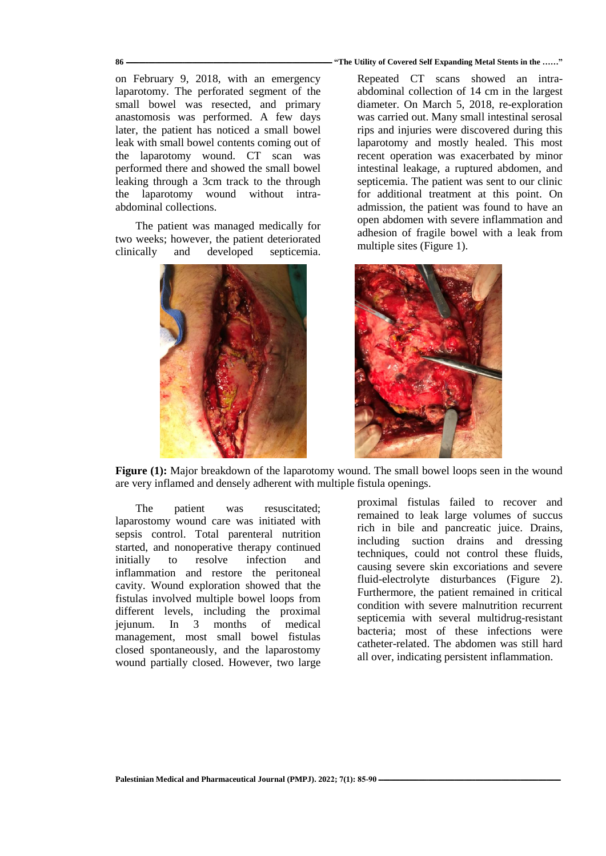on February 9, 2018, with an emergency laparotomy. The perforated segment of the small bowel was resected, and primary anastomosis was performed. A few days later, the patient has noticed a small bowel leak with small bowel contents coming out of the laparotomy wound. CT scan was performed there and showed the small bowel leaking through a 3cm track to the through the laparotomy wound without intraabdominal collections.

The patient was managed medically for two weeks; however, the patient deteriorated<br>clinically and developed septicemia. clinically and developed septicemia.



#### **86 ــــــــــــــــــــــــــــــــــــــــــــــــــــــــــــــــــــــــــــــــــــــــــــــــــــــــــــــــــــــــــــــــ" The Utility of Covered Self Expanding Metal Stents in the ……"**

Repeated CT scans showed an intraabdominal collection of 14 cm in the largest diameter. On March 5, 2018, re-exploration was carried out. Many small intestinal serosal rips and injuries were discovered during this laparotomy and mostly healed. This most recent operation was exacerbated by minor intestinal leakage, a ruptured abdomen, and septicemia. The patient was sent to our clinic for additional treatment at this point. On admission, the patient was found to have an open abdomen with severe inflammation and adhesion of fragile bowel with a leak from multiple sites (Figure 1).



**Figure (1):** Major breakdown of the laparotomy wound. The small bowel loops seen in the wound are very inflamed and densely adherent with multiple fistula openings.

The patient was resuscitated; laparostomy wound care was initiated with sepsis control. Total parenteral nutrition started, and nonoperative therapy continued initially to resolve infection and inflammation and restore the peritoneal cavity. Wound exploration showed that the fistulas involved multiple bowel loops from different levels, including the proximal jejunum. In 3 months of medical management, most small bowel fistulas closed spontaneously, and the laparostomy wound partially closed. However, two large

proximal fistulas failed to recover and remained to leak large volumes of succus rich in bile and pancreatic juice. Drains, including suction drains and dressing techniques, could not control these fluids, causing severe skin excoriations and severe fluid-electrolyte disturbances (Figure 2). Furthermore, the patient remained in critical condition with severe malnutrition recurrent septicemia with several multidrug-resistant bacteria; most of these infections were catheter-related. The abdomen was still hard all over, indicating persistent inflammation.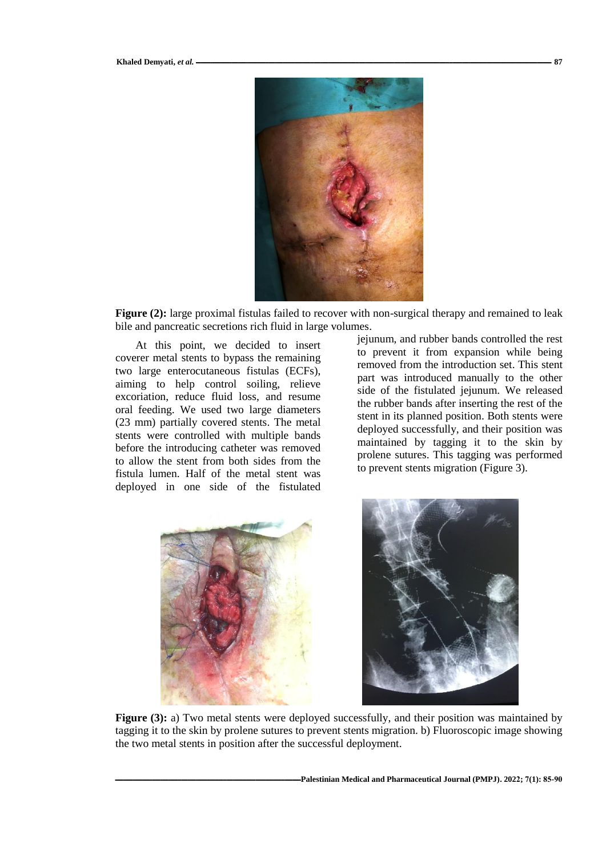

**Figure (2):** large proximal fistulas failed to recover with non-surgical therapy and remained to leak bile and pancreatic secretions rich fluid in large volumes.

At this point, we decided to insert coverer metal stents to bypass the remaining two large enterocutaneous fistulas (ECFs), aiming to help control soiling, relieve excoriation, reduce fluid loss, and resume oral feeding. We used two large diameters (23 mm) partially covered stents. The metal stents were controlled with multiple bands before the introducing catheter was removed to allow the stent from both sides from the fistula lumen. Half of the metal stent was deployed in one side of the fistulated

jejunum, and rubber bands controlled the rest to prevent it from expansion while being removed from the introduction set. This stent part was introduced manually to the other side of the fistulated jejunum. We released the rubber bands after inserting the rest of the stent in its planned position. Both stents were deployed successfully, and their position was maintained by tagging it to the skin by prolene sutures. This tagging was performed to prevent stents migration (Figure 3).





Figure (3): a) Two metal stents were deployed successfully, and their position was maintained by tagging it to the skin by prolene sutures to prevent stents migration. b) Fluoroscopic image showing the two metal stents in position after the successful deployment.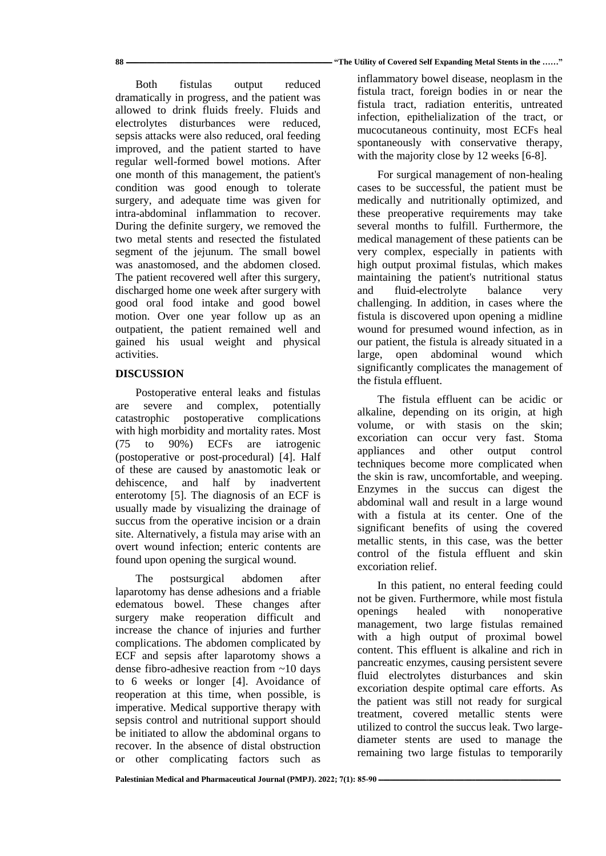#### **88 ــــــــــــــــــــــــــــــــــــــــــــــــــــــــــــــــــــــــــــــــــــــــــــــــــــــــــــــــــــــــــــــــ" The Utility of Covered Self Expanding Metal Stents in the ……"**

Both fistulas output reduced dramatically in progress, and the patient was allowed to drink fluids freely. Fluids and electrolytes disturbances were reduced, sepsis attacks were also reduced, oral feeding improved, and the patient started to have regular well-formed bowel motions. After one month of this management, the patient's condition was good enough to tolerate surgery, and adequate time was given for intra-abdominal inflammation to recover. During the definite surgery, we removed the two metal stents and resected the fistulated segment of the jejunum. The small bowel was anastomosed, and the abdomen closed. The patient recovered well after this surgery, discharged home one week after surgery with good oral food intake and good bowel motion. Over one year follow up as an outpatient, the patient remained well and gained his usual weight and physical activities.

# **DISCUSSION**

Postoperative enteral leaks and fistulas are severe and complex, potentially catastrophic postoperative complications with high morbidity and mortality rates. Most (75 to 90%) ECFs are iatrogenic (postoperative or post-procedural) [4]. Half of these are caused by anastomotic leak or dehiscence, and half by inadvertent enterotomy [5]. The diagnosis of an ECF is usually made by visualizing the drainage of succus from the operative incision or a drain site. Alternatively, a fistula may arise with an overt wound infection; enteric contents are found upon opening the surgical wound.

The postsurgical abdomen after laparotomy has dense adhesions and a friable edematous bowel. These changes after surgery make reoperation difficult and increase the chance of injuries and further complications. The abdomen complicated by ECF and sepsis after laparotomy shows a dense fibro-adhesive reaction from ~10 days to 6 weeks or longer [4]. Avoidance of reoperation at this time, when possible, is imperative. Medical supportive therapy with sepsis control and nutritional support should be initiated to allow the abdominal organs to recover. In the absence of distal obstruction or other complicating factors such as

inflammatory bowel disease, neoplasm in the fistula tract, foreign bodies in or near the fistula tract, radiation enteritis, untreated infection, epithelialization of the tract, or mucocutaneous continuity, most ECFs heal spontaneously with conservative therapy, with the majority close by 12 weeks [6-8].

For surgical management of non-healing cases to be successful, the patient must be medically and nutritionally optimized, and these preoperative requirements may take several months to fulfill. Furthermore, the medical management of these patients can be very complex, especially in patients with high output proximal fistulas, which makes maintaining the patient's nutritional status and fluid-electrolyte balance very challenging. In addition, in cases where the fistula is discovered upon opening a midline wound for presumed wound infection, as in our patient, the fistula is already situated in a large, open abdominal wound which significantly complicates the management of the fistula effluent.

The fistula effluent can be acidic or alkaline, depending on its origin, at high volume, or with stasis on the skin; excoriation can occur very fast. Stoma appliances and other output control techniques become more complicated when the skin is raw, uncomfortable, and weeping. Enzymes in the succus can digest the abdominal wall and result in a large wound with a fistula at its center. One of the significant benefits of using the covered metallic stents, in this case, was the better control of the fistula effluent and skin excoriation relief.

In this patient, no enteral feeding could not be given. Furthermore, while most fistula<br>openings healed with nonoperative openings healed with nonoperative management, two large fistulas remained with a high output of proximal bowel content. This effluent is alkaline and rich in pancreatic enzymes, causing persistent severe fluid electrolytes disturbances and skin excoriation despite optimal care efforts. As the patient was still not ready for surgical treatment, covered metallic stents were utilized to control the succus leak. Two largediameter stents are used to manage the remaining two large fistulas to temporarily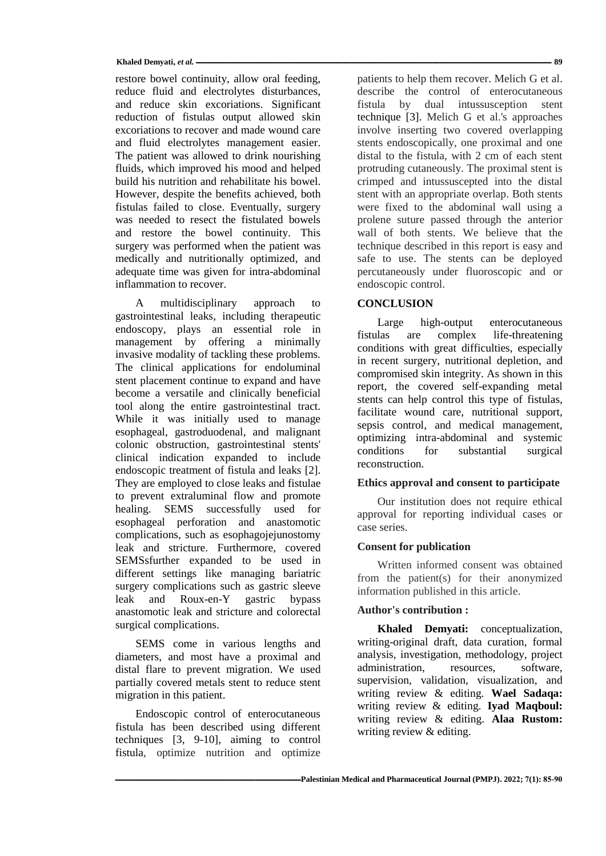#### **Khaled Demyati,** *et al.* **ـــــــــــــــــــــــــــــــــــــــــــــــــــــــــــــــــــــــــــــــــــــــــــــــــــــــــــــــــــــــــــــــــــــــــــــــــــــــــــــــــــــــــــــــــــــــــــــــــــــــــــــــــــــــــــــ 89**

restore bowel continuity, allow oral feeding, reduce fluid and electrolytes disturbances, and reduce skin excoriations. Significant reduction of fistulas output allowed skin excoriations to recover and made wound care and fluid electrolytes management easier. The patient was allowed to drink nourishing fluids, which improved his mood and helped build his nutrition and rehabilitate his bowel. However, despite the benefits achieved, both fistulas failed to close. Eventually, surgery was needed to resect the fistulated bowels and restore the bowel continuity. This surgery was performed when the patient was medically and nutritionally optimized, and adequate time was given for intra-abdominal inflammation to recover.

multidisciplinary approach to gastrointestinal leaks, including therapeutic endoscopy, plays an essential role in management by offering a minimally invasive modality of tackling these problems. The clinical applications for endoluminal stent placement continue to expand and have become a versatile and clinically beneficial tool along the entire gastrointestinal tract. While it was initially used to manage esophageal, gastroduodenal, and malignant colonic obstruction, gastrointestinal stents' clinical indication expanded to include endoscopic treatment of fistula and leaks [2]. They are employed to close leaks and fistulae to prevent extraluminal flow and promote healing. SEMS successfully used for esophageal perforation and anastomotic complications, such as esophagojejunostomy leak and stricture. Furthermore, covered SEMSsfurther expanded to be used in different settings like managing bariatric surgery complications such as gastric sleeve leak and Roux-en-Y gastric bypass anastomotic leak and stricture and colorectal surgical complications.

SEMS come in various lengths and diameters, and most have a proximal and distal flare to prevent migration. We used partially covered metals stent to reduce stent migration in this patient.

Endoscopic control of enterocutaneous fistula has been described using different techniques [3, 9-10], aiming to control fistula, optimize nutrition and optimize

patients to help them recover. Melich G et al. describe the control of enterocutaneous fistula by dual intussusception stent technique [3]. Melich G et al.'s approaches involve inserting two covered overlapping stents endoscopically, one proximal and one distal to the fistula, with 2 cm of each stent protruding cutaneously. The proximal stent is crimped and intussuscepted into the distal stent with an appropriate overlap. Both stents were fixed to the abdominal wall using a prolene suture passed through the anterior wall of both stents. We believe that the technique described in this report is easy and safe to use. The stents can be deployed percutaneously under fluoroscopic and or endoscopic control.

# **CONCLUSION**

Large high-output enterocutaneous fistulas are complex life-threatening conditions with great difficulties, especially in recent surgery, nutritional depletion, and compromised skin integrity. As shown in this report, the covered self-expanding metal stents can help control this type of fistulas, facilitate wound care, nutritional support, sepsis control, and medical management, optimizing intra-abdominal and systemic conditions for substantial surgical reconstruction.

# **Ethics approval and consent to participate**

Our institution does not require ethical approval for reporting individual cases or case series.

# **Consent for publication**

Written informed consent was obtained from the patient(s) for their anonymized information published in this article.

# **Author's contribution :**

**Khaled Demyati:** conceptualization, writing-original draft, data curation, formal analysis, investigation, methodology, project administration, resources, software, supervision, validation, visualization, and writing review & editing. **Wael Sadaqa:** writing review & editing. **Iyad Maqboul:**  writing review & editing. **Alaa Rustom:**  writing review & editing.